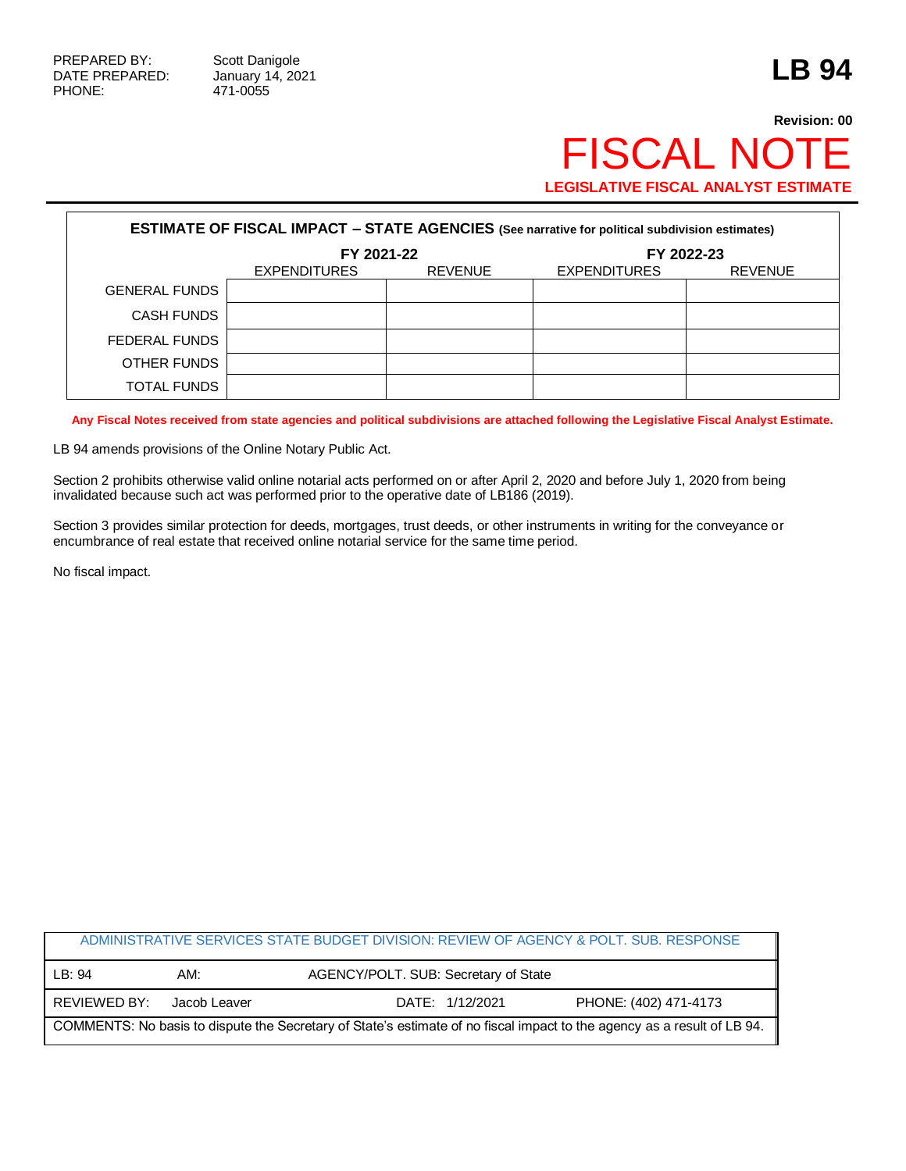## **Revision: 00** FISCAL NOTE **LEGISLATIVE FISCAL ANALYST ESTIMATE**

| <b>ESTIMATE OF FISCAL IMPACT - STATE AGENCIES</b> (See narrative for political subdivision estimates) |                     |                |                     |                |  |
|-------------------------------------------------------------------------------------------------------|---------------------|----------------|---------------------|----------------|--|
|                                                                                                       | FY 2021-22          |                | FY 2022-23          |                |  |
|                                                                                                       | <b>EXPENDITURES</b> | <b>REVENUE</b> | <b>EXPENDITURES</b> | <b>REVENUE</b> |  |
| <b>GENERAL FUNDS</b>                                                                                  |                     |                |                     |                |  |
| <b>CASH FUNDS</b>                                                                                     |                     |                |                     |                |  |
| FEDERAL FUNDS                                                                                         |                     |                |                     |                |  |
| OTHER FUNDS                                                                                           |                     |                |                     |                |  |
| <b>TOTAL FUNDS</b>                                                                                    |                     |                |                     |                |  |

**Any Fiscal Notes received from state agencies and political subdivisions are attached following the Legislative Fiscal Analyst Estimate.**

LB 94 amends provisions of the Online Notary Public Act.

Section 2 prohibits otherwise valid online notarial acts performed on or after April 2, 2020 and before July 1, 2020 from being invalidated because such act was performed prior to the operative date of LB186 (2019).

Section 3 provides similar protection for deeds, mortgages, trust deeds, or other instruments in writing for the conveyance or encumbrance of real estate that received online notarial service for the same time period.

No fiscal impact.

|                                                                                                                         |              | ADMINISTRATIVE SERVICES STATE BUDGET DIVISION: REVIEW OF AGENCY & POLT. SUB. RESPONSE |                       |  |  |
|-------------------------------------------------------------------------------------------------------------------------|--------------|---------------------------------------------------------------------------------------|-----------------------|--|--|
| LB: 94                                                                                                                  | AM:          | AGENCY/POLT. SUB: Secretary of State                                                  |                       |  |  |
| REVIEWED BY:                                                                                                            | Jacob Leaver | DATE: 1/12/2021                                                                       | PHONE: (402) 471-4173 |  |  |
| COMMENTS: No basis to dispute the Secretary of State's estimate of no fiscal impact to the agency as a result of LB 94. |              |                                                                                       |                       |  |  |